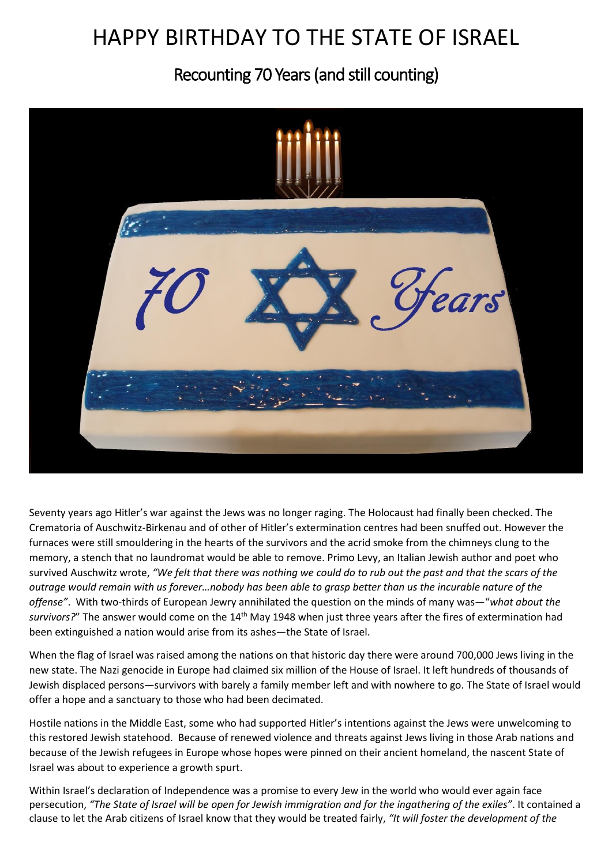## HAPPY BIRTHDAY TO THE STATE OF ISRAEL

Recounting 70 Years (and still counting)



Seventy years ago Hitler's war against the Jews was no longer raging. The Holocaust had finally been checked. The Crematoria of Auschwitz-Birkenau and of other of Hitler's extermination centres had been snuffed out. However the furnaces were still smouldering in the hearts of the survivors and the acrid smoke from the chimneys clung to the memory, a stench that no laundromat would be able to remove. Primo Levy, an Italian Jewish author and poet who survived Auschwitz wrote, *"We felt that there was nothing we could do to rub out the past and that the scars of the outrage would remain with us forever…nobody has been able to grasp better than us the incurable nature of the offense"*. With two-thirds of European Jewry annihilated the question on the minds of many was—"*what about the survivors?*" The answer would come on the 14th May 1948 when just three years after the fires of extermination had been extinguished a nation would arise from its ashes—the State of Israel.

When the flag of Israel was raised among the nations on that historic day there were around 700,000 Jews living in the new state. The Nazi genocide in Europe had claimed six million of the House of Israel. It left hundreds of thousands of Jewish displaced persons—survivors with barely a family member left and with nowhere to go. The State of Israel would offer a hope and a sanctuary to those who had been decimated.

Hostile nations in the Middle East, some who had supported Hitler's intentions against the Jews were unwelcoming to this restored Jewish statehood.Because of renewed violence and threats against Jews living in those Arab nations and because of the Jewish refugees in Europe whose hopes were pinned on their ancient homeland, the nascent State of Israel was about to experience a growth spurt.

Within Israel's declaration of Independence was a promise to every Jew in the world who would ever again face persecution, *"The State of Israel will be open for Jewish immigration and for the ingathering of the exiles"*. It contained a clause to let the Arab citizens of Israel know that they would be treated fairly, *"It will foster the development of the*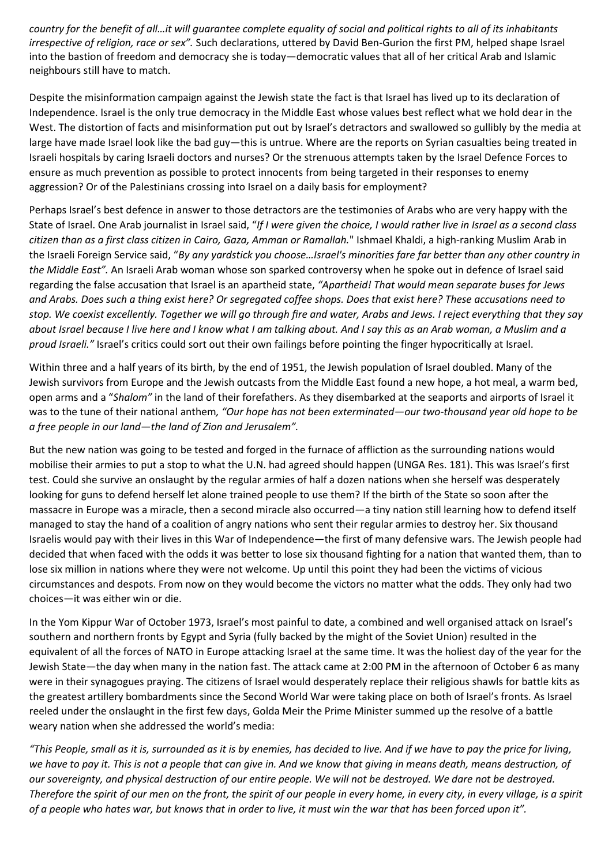*country for the benefit of all…it will guarantee complete equality of social and political rights to all of its inhabitants irrespective of religion, race or sex".* Such declarations, uttered by David Ben-Gurion the first PM, helped shape Israel into the bastion of freedom and democracy she is today—democratic values that all of her critical Arab and Islamic neighbours still have to match.

Despite the misinformation campaign against the Jewish state the fact is that Israel has lived up to its declaration of Independence. Israel is the only true democracy in the Middle East whose values best reflect what we hold dear in the West. The distortion of facts and misinformation put out by Israel's detractors and swallowed so gullibly by the media at large have made Israel look like the bad guy—this is untrue. Where are the reports on Syrian casualties being treated in Israeli hospitals by caring Israeli doctors and nurses? Or the strenuous attempts taken by the Israel Defence Forces to ensure as much prevention as possible to protect innocents from being targeted in their responses to enemy aggression? Or of the Palestinians crossing into Israel on a daily basis for employment?

Perhaps Israel's best defence in answer to those detractors are the testimonies of Arabs who are very happy with the State of Israel. One Arab journalist in Israel said, "*If I were given the choice, I would rather live in Israel as a second class citizen than as a first class citizen in Cairo, Gaza, Amman or Ramallah.*" Ishmael Khaldi, a high-ranking Muslim Arab in the Israeli Foreign Service said, "*By any yardstick you choose…Israel's minorities fare far better than any other country in the Middle East".* An Israeli Arab woman whose son sparked controversy when he spoke out in defence of Israel said regarding the false accusation that Israel is an apartheid state, *"Apartheid! That would mean separate buses for Jews and Arabs. Does such a thing exist here? Or segregated coffee shops. Does that exist here? These accusations need to stop. We coexist excellently. Together we will go through fire and water, Arabs and Jews. I reject everything that they say about Israel because I live here and I know what I am talking about. And I say this as an Arab woman, a Muslim and a proud Israeli."* Israel's critics could sort out their own failings before pointing the finger hypocritically at Israel.

Within three and a half years of its birth, by the end of 1951, the Jewish population of Israel doubled. Many of the Jewish survivors from Europe and the Jewish outcasts from the Middle East found a new hope, a hot meal, a warm bed, open arms and a "*Shalom"* in the land of their forefathers. As they disembarked at the seaports and airports of Israel it was to the tune of their national anthem*, "Our hope has not been exterminated—our two-thousand year old hope to be a free people in our land—the land of Zion and Jerusalem".*

But the new nation was going to be tested and forged in the furnace of affliction as the surrounding nations would mobilise their armies to put a stop to what the U.N. had agreed should happen (UNGA Res. 181). This was Israel's first test. Could she survive an onslaught by the regular armies of half a dozen nations when she herself was desperately looking for guns to defend herself let alone trained people to use them? If the birth of the State so soon after the massacre in Europe was a miracle, then a second miracle also occurred—a tiny nation still learning how to defend itself managed to stay the hand of a coalition of angry nations who sent their regular armies to destroy her. Six thousand Israelis would pay with their lives in this War of Independence—the first of many defensive wars. The Jewish people had decided that when faced with the odds it was better to lose six thousand fighting for a nation that wanted them, than to lose six million in nations where they were not welcome. Up until this point they had been the victims of vicious circumstances and despots. From now on they would become the victors no matter what the odds. They only had two choices—it was either win or die.

In the Yom Kippur War of October 1973, Israel's most painful to date, a combined and well organised attack on Israel's southern and northern fronts by Egypt and Syria (fully backed by the might of the Soviet Union) resulted in the equivalent of all the forces of NATO in Europe attacking Israel at the same time. It was the holiest day of the year for the Jewish State—the day when many in the nation fast. The attack came at 2:00 PM in the afternoon of October 6 as many were in their synagogues praying. The citizens of Israel would desperately replace their religious shawls for battle kits as the greatest artillery bombardments since the Second World War were taking place on both of Israel's fronts. As Israel reeled under the onslaught in the first few days, Golda Meir the Prime Minister summed up the resolve of a battle weary nation when she addressed the world's media:

*"This People, small as it is, surrounded as it is by enemies, has decided to live. And if we have to pay the price for living, we have to pay it. This is not a people that can give in. And we know that giving in means death, means destruction, of our sovereignty, and physical destruction of our entire people. We will not be destroyed. We dare not be destroyed. Therefore the spirit of our men on the front, the spirit of our people in every home, in every city, in every village, is a spirit of a people who hates war, but knows that in order to live, it must win the war that has been forced upon it".*